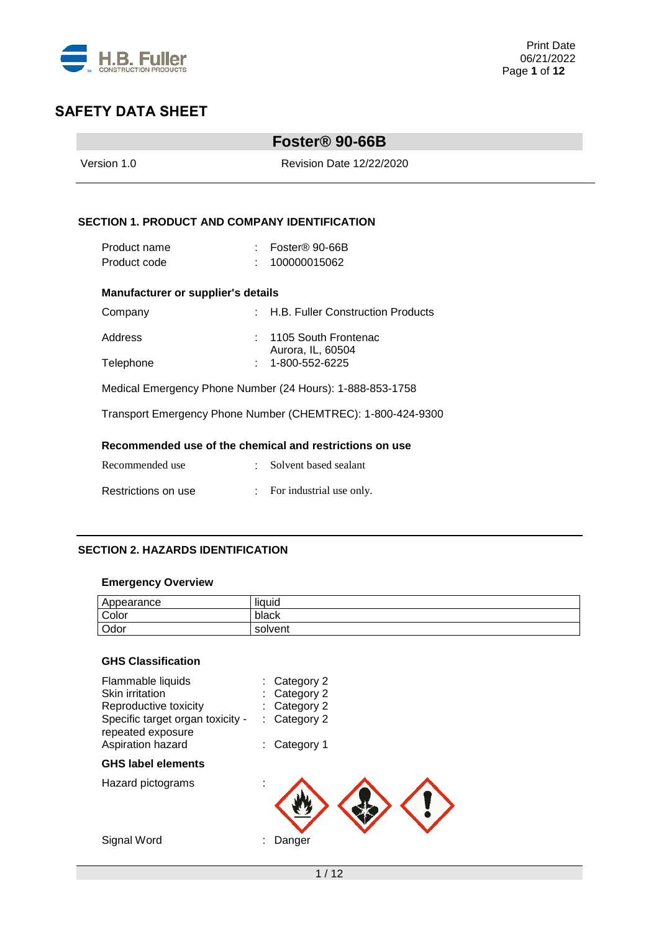

|                                                             |    | Foster <sup>®</sup> 90-66B                |  |  |  |
|-------------------------------------------------------------|----|-------------------------------------------|--|--|--|
| Version 1 0                                                 |    | <b>Revision Date 12/22/2020</b>           |  |  |  |
|                                                             |    |                                           |  |  |  |
| <b>SECTION 1. PRODUCT AND COMPANY IDENTIFICATION</b>        |    |                                           |  |  |  |
| Product name                                                |    | : Foster <sup>®</sup> 90-66B              |  |  |  |
| Product code                                                |    | 100000015062                              |  |  |  |
| <b>Manufacturer or supplier's details</b>                   |    |                                           |  |  |  |
| Company                                                     |    | : H.B. Fuller Construction Products       |  |  |  |
| Address                                                     | ÷. | 1105 South Frontenac<br>Aurora, IL, 60504 |  |  |  |
| Telephone                                                   |    | 1-800-552-6225                            |  |  |  |
| Medical Emergency Phone Number (24 Hours): 1-888-853-1758   |    |                                           |  |  |  |
| Transport Emergency Phone Number (CHEMTREC): 1-800-424-9300 |    |                                           |  |  |  |
| Recommended use of the chemical and restrictions on use     |    |                                           |  |  |  |
| Recommended use                                             |    | Solvent based sealant                     |  |  |  |
| Restrictions on use                                         |    | For industrial use only.                  |  |  |  |

## **SECTION 2. HAZARDS IDENTIFICATION**

## **Emergency Overview**

| Appearance | <br>. .<br>liquid |
|------------|-------------------|
| Color      | black             |
| Odor       | solvent           |

# **GHS Classification**

| Flammable liquids                                     | Category 2 |
|-------------------------------------------------------|------------|
| Skin irritation                                       | Category 2 |
| Reproductive toxicity                                 | Category 2 |
| Specific target organ toxicity -<br>repeated exposure | Category 2 |
| Aspiration hazard                                     | Category 1 |
| <b>GHS label elements</b>                             |            |
| Hazard pictograms                                     |            |
| Signal Word                                           | Danger     |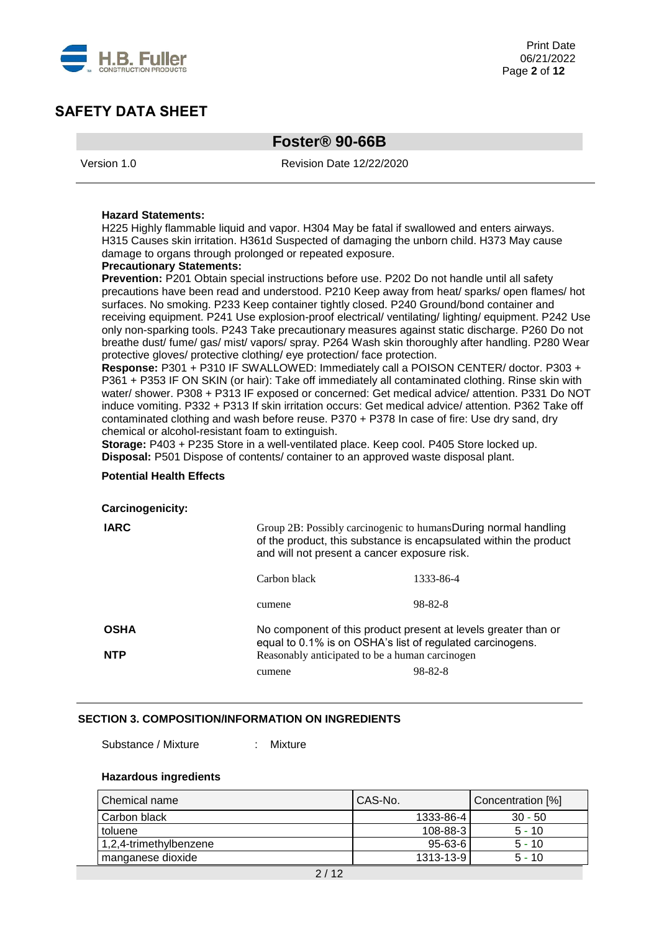

# **Foster® 90-66B**

Version 1.0 Revision Date 12/22/2020

#### **Hazard Statements:**

H225 Highly flammable liquid and vapor. H304 May be fatal if swallowed and enters airways. H315 Causes skin irritation. H361d Suspected of damaging the unborn child. H373 May cause damage to organs through prolonged or repeated exposure.

#### **Precautionary Statements:**

Prevention: P201 Obtain special instructions before use. P202 Do not handle until all safety precautions have been read and understood. P210 Keep away from heat/ sparks/ open flames/ hot surfaces. No smoking. P233 Keep container tightly closed. P240 Ground/bond container and receiving equipment. P241 Use explosion-proof electrical/ ventilating/ lighting/ equipment. P242 Use only non-sparking tools. P243 Take precautionary measures against static discharge. P260 Do not breathe dust/ fume/ gas/ mist/ vapors/ spray. P264 Wash skin thoroughly after handling. P280 Wear protective gloves/ protective clothing/ eye protection/ face protection.

**Response:** P301 + P310 IF SWALLOWED: Immediately call a POISON CENTER/ doctor. P303 + P361 + P353 IF ON SKIN (or hair): Take off immediately all contaminated clothing. Rinse skin with water/ shower. P308 + P313 IF exposed or concerned: Get medical advice/ attention. P331 Do NOT induce vomiting. P332 + P313 If skin irritation occurs: Get medical advice/ attention. P362 Take off contaminated clothing and wash before reuse. P370 + P378 In case of fire: Use dry sand, dry chemical or alcohol-resistant foam to extinguish.

**Storage:** P403 + P235 Store in a well-ventilated place. Keep cool. P405 Store locked up. **Disposal:** P501 Dispose of contents/ container to an approved waste disposal plant.

#### **Potential Health Effects**

#### **Carcinogenicity:**

| <b>IARC</b>               | Group 2B: Possibly carcinogenic to humansDuring normal handling<br>of the product, this substance is encapsulated within the product<br>and will not present a cancer exposure risk. |           |  |  |  |
|---------------------------|--------------------------------------------------------------------------------------------------------------------------------------------------------------------------------------|-----------|--|--|--|
|                           | Carbon black                                                                                                                                                                         | 1333-86-4 |  |  |  |
|                           | cumene                                                                                                                                                                               | 98-82-8   |  |  |  |
| <b>OSHA</b><br><b>NTP</b> | No component of this product present at levels greater than or<br>equal to 0.1% is on OSHA's list of regulated carcinogens.<br>Reasonably anticipated to be a human carcinogen       |           |  |  |  |
|                           | cumene                                                                                                                                                                               | 98-82-8   |  |  |  |

#### **SECTION 3. COMPOSITION/INFORMATION ON INGREDIENTS**

Substance / Mixture : Mixture

#### **Hazardous ingredients**

| Chemical name          | l CAS-No.     | Concentration [%] |
|------------------------|---------------|-------------------|
| Carbon black           | 1333-86-4     | $30 - 50$         |
| toluene                | 108-88-3      | $5 - 10$          |
| 1.2.4-trimethylbenzene | $95 - 63 - 6$ | $5 - 10$          |
| manganese dioxide      | 1313-13-9     | $5 - 10$          |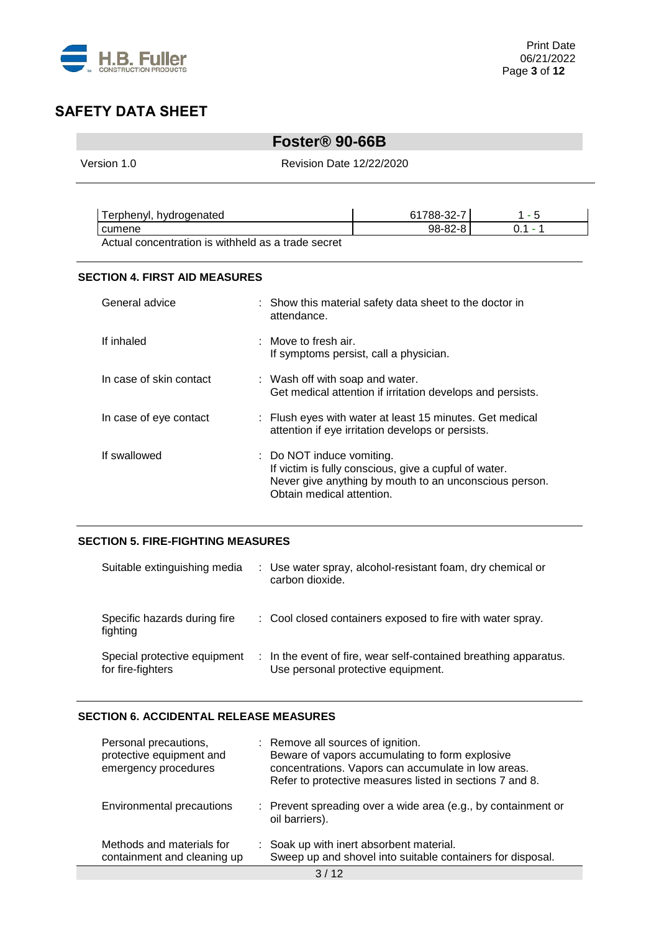

# **Foster® 90-66B**

Version 1.0 Revision Date 12/22/2020

| Terphenyl, hydrogenated                            | 61788-32-7 |         |
|----------------------------------------------------|------------|---------|
| I cumene                                           | 98-82-8    | በ 1 - 1 |
| Actual concentration is withheld as a trade secret |            |         |

#### **SECTION 4. FIRST AID MEASURES**

| General advice          | : Show this material safety data sheet to the doctor in<br>attendance.                                                                                                    |
|-------------------------|---------------------------------------------------------------------------------------------------------------------------------------------------------------------------|
| If inhaled              | : Move to fresh air.<br>If symptoms persist, call a physician.                                                                                                            |
| In case of skin contact | : Wash off with soap and water.<br>Get medical attention if irritation develops and persists.                                                                             |
| In case of eye contact  | : Flush eyes with water at least 15 minutes. Get medical<br>attention if eye irritation develops or persists.                                                             |
| If swallowed            | : Do NOT induce vomiting.<br>If victim is fully conscious, give a cupful of water.<br>Never give anything by mouth to an unconscious person.<br>Obtain medical attention. |

## **SECTION 5. FIRE-FIGHTING MEASURES**

| Suitable extinguishing media                      | : Use water spray, alcohol-resistant foam, dry chemical or<br>carbon dioxide.                          |
|---------------------------------------------------|--------------------------------------------------------------------------------------------------------|
| Specific hazards during fire<br>fighting          | : Cool closed containers exposed to fire with water spray.                                             |
| Special protective equipment<br>for fire-fighters | : In the event of fire, wear self-contained breathing apparatus.<br>Use personal protective equipment. |

#### **SECTION 6. ACCIDENTAL RELEASE MEASURES**

| Personal precautions,<br>protective equipment and<br>emergency procedures | : Remove all sources of ignition.<br>Beware of vapors accumulating to form explosive<br>concentrations. Vapors can accumulate in low areas.<br>Refer to protective measures listed in sections 7 and 8. |
|---------------------------------------------------------------------------|---------------------------------------------------------------------------------------------------------------------------------------------------------------------------------------------------------|
| <b>Environmental precautions</b>                                          | $\therefore$ Prevent spreading over a wide area (e.g., by containment or<br>oil barriers).                                                                                                              |
| Methods and materials for<br>containment and cleaning up                  | : Soak up with inert absorbent material.<br>Sweep up and shovel into suitable containers for disposal.                                                                                                  |
|                                                                           |                                                                                                                                                                                                         |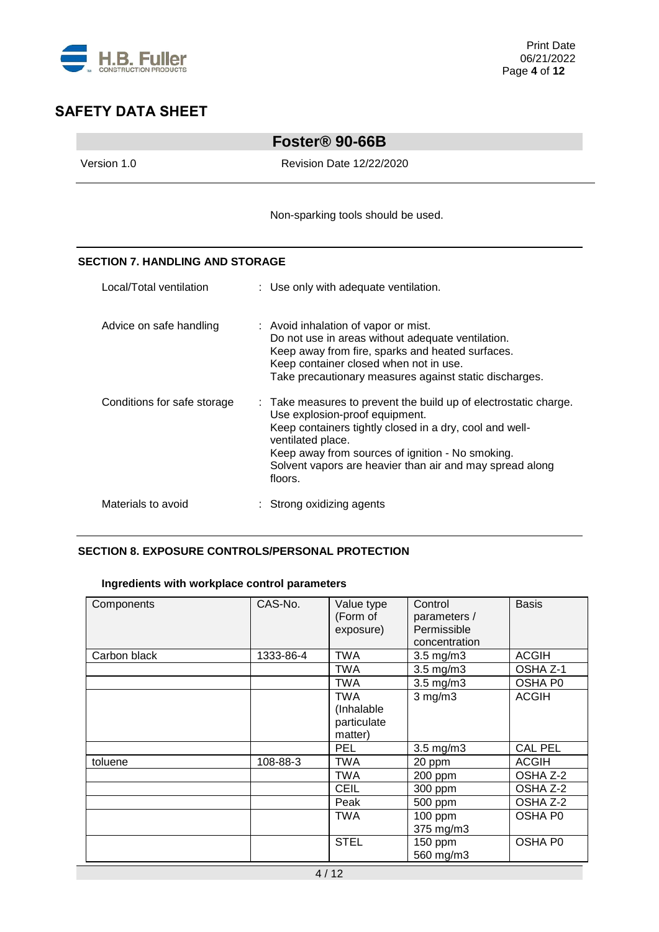

|                                        | Foster <sup>®</sup> 90-66B                                                                                                                                                                                                                                                                                    |
|----------------------------------------|---------------------------------------------------------------------------------------------------------------------------------------------------------------------------------------------------------------------------------------------------------------------------------------------------------------|
| Version 1.0                            | <b>Revision Date 12/22/2020</b>                                                                                                                                                                                                                                                                               |
|                                        | Non-sparking tools should be used.                                                                                                                                                                                                                                                                            |
| <b>SECTION 7. HANDLING AND STORAGE</b> |                                                                                                                                                                                                                                                                                                               |
| Local/Total ventilation                | : Use only with adequate ventilation.                                                                                                                                                                                                                                                                         |
| Advice on safe handling                | : Avoid inhalation of vapor or mist.<br>Do not use in areas without adequate ventilation.<br>Keep away from fire, sparks and heated surfaces.<br>Keep container closed when not in use.<br>Take precautionary measures against static discharges.                                                             |
| Conditions for safe storage            | : Take measures to prevent the build up of electrostatic charge.<br>Use explosion-proof equipment.<br>Keep containers tightly closed in a dry, cool and well-<br>ventilated place.<br>Keep away from sources of ignition - No smoking.<br>Solvent vapors are heavier than air and may spread along<br>floors. |
| Materials to avoid                     | Strong oxidizing agents                                                                                                                                                                                                                                                                                       |

## **SECTION 8. EXPOSURE CONTROLS/PERSONAL PROTECTION**

# **Ingredients with workplace control parameters**

| Components   | CAS-No.   | Value type<br>(Form of<br>exposure)         | Control<br>parameters /<br>Permissible<br>concentration | <b>Basis</b>   |
|--------------|-----------|---------------------------------------------|---------------------------------------------------------|----------------|
| Carbon black | 1333-86-4 | TWA                                         | $3.5$ mg/m $3$                                          | <b>ACGIH</b>   |
|              |           | TWA                                         | 3.5 mg/m3                                               | OSHA Z-1       |
|              |           | <b>TWA</b>                                  | $3.5$ mg/m $3$                                          | OSHA P0        |
|              |           | TWA<br>(Inhalable<br>particulate<br>matter) | $3$ mg/m $3$                                            | <b>ACGIH</b>   |
|              |           | <b>PEL</b>                                  | $3.5$ mg/m $3$                                          | <b>CAL PEL</b> |
| toluene      | 108-88-3  | <b>TWA</b>                                  | 20 ppm                                                  | <b>ACGIH</b>   |
|              |           | TWA                                         | 200 ppm                                                 | OSHA Z-2       |
|              |           | <b>CEIL</b>                                 | 300 ppm                                                 | OSHA Z-2       |
|              |           | Peak                                        | 500 ppm                                                 | OSHA Z-2       |
|              |           | <b>TWA</b>                                  | 100 ppm<br>375 mg/m3                                    | <b>OSHA P0</b> |
|              |           | <b>STEL</b>                                 | 150 ppm<br>560 mg/m3                                    | OSHA P0        |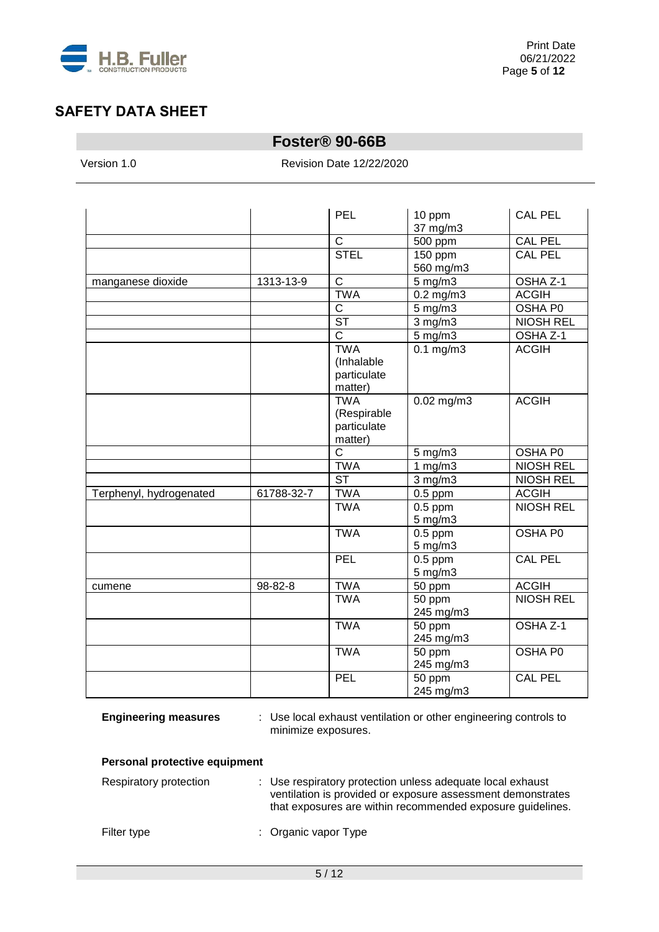

# **Foster® 90-66B**

Version 1.0 Revision Date 12/22/2020

|                         |            | <b>PEL</b>                                          | 10 ppm<br>37 mg/m3                   | <b>CAL PEL</b>      |
|-------------------------|------------|-----------------------------------------------------|--------------------------------------|---------------------|
|                         |            | $\overline{C}$                                      | 500 ppm                              | <b>CAL PEL</b>      |
|                         |            | <b>STEL</b>                                         | 150 ppm                              | <b>CAL PEL</b>      |
|                         |            |                                                     | 560 mg/m3                            |                     |
| manganese dioxide       | 1313-13-9  | $\mathsf C$                                         | 5 mg/m3                              | OSHA Z-1            |
|                         |            | <b>TWA</b>                                          | $0.2$ mg/m $3$                       | <b>ACGIH</b>        |
|                         |            | $\overline{C}$                                      | $5$ mg/m $3$                         | OSHA P0             |
|                         |            | $\overline{\text{ST}}$                              | $3$ mg/m $3$                         | <b>NIOSH REL</b>    |
|                         |            | $\overline{\mathsf{C}}$                             | $5$ mg/m $3$                         | OSHA Z-1            |
|                         |            | <b>TWA</b><br>(Inhalable<br>particulate<br>matter)  | $0.1$ mg/m $3$                       | <b>ACGIH</b>        |
|                         |            | <b>TWA</b><br>(Respirable<br>particulate<br>matter) | $0.02$ mg/m3                         | <b>ACGIH</b>        |
|                         |            | $\overline{\text{c}}$                               | $5$ mg/m $3$                         | OSHA P0             |
|                         |            | <b>TWA</b>                                          | 1 $mg/m3$                            | <b>NIOSH REL</b>    |
|                         |            | $\overline{\text{ST}}$                              | $3$ mg/m $3$                         | <b>NIOSH REL</b>    |
| Terphenyl, hydrogenated | 61788-32-7 | <b>TWA</b>                                          | $0.5$ ppm                            | <b>ACGIH</b>        |
|                         |            | <b>TWA</b>                                          | $\overline{0.5}$ ppm<br>$5$ mg/m $3$ | <b>NIOSH REL</b>    |
|                         |            | <b>TWA</b>                                          | $0.5$ ppm<br>5 mg/m3                 | OSHA P0             |
|                         |            | PEL                                                 | $0.5$ ppm<br>$5$ mg/m $3$            | <b>CAL PEL</b>      |
| cumene                  | 98-82-8    | <b>TWA</b>                                          | 50 ppm                               | <b>ACGIH</b>        |
|                         |            | <b>TWA</b>                                          | 50 ppm<br>245 mg/m3                  | <b>NIOSH REL</b>    |
|                         |            | <b>TWA</b>                                          | 50 ppm<br>245 mg/m3                  | OSHA <sub>Z-1</sub> |
|                         |            | <b>TWA</b>                                          | 50 ppm<br>245 mg/m3                  | OSHA P0             |
|                         |            | PEL                                                 | 50 ppm<br>245 mg/m3                  | CAL PEL             |

**Engineering measures** : Use local exhaust ventilation or other engineering controls to minimize exposures.

## **Personal protective equipment**

| Respiratory protection | : Use respiratory protection unless adequate local exhaust<br>ventilation is provided or exposure assessment demonstrates<br>that exposures are within recommended exposure guidelines. |
|------------------------|-----------------------------------------------------------------------------------------------------------------------------------------------------------------------------------------|
| Filter type            | : Organic vapor Type                                                                                                                                                                    |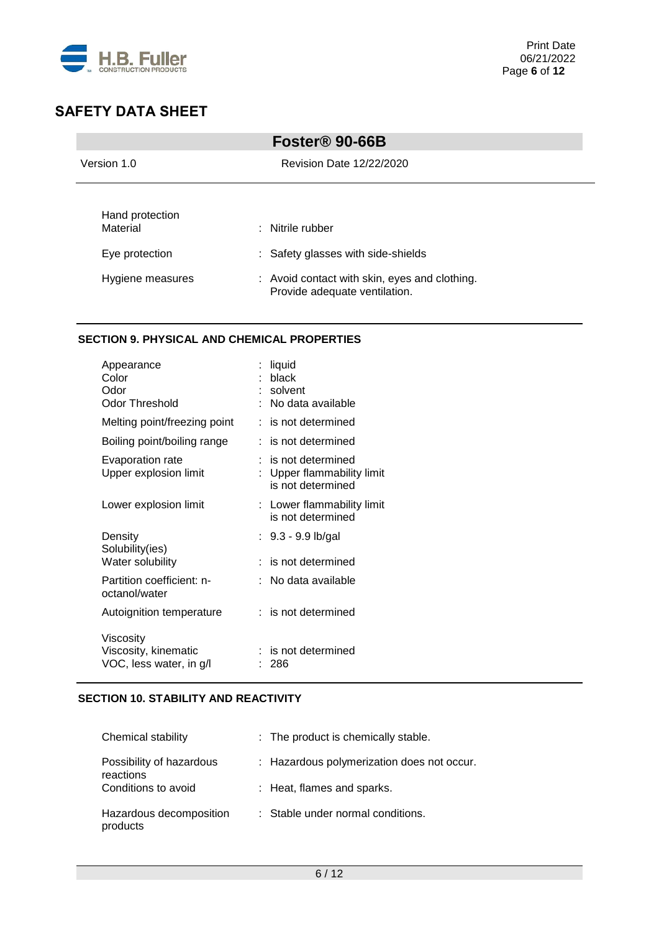

| Foster <sup>®</sup> 90-66B                                        |                                                                                                                                                     |  |
|-------------------------------------------------------------------|-----------------------------------------------------------------------------------------------------------------------------------------------------|--|
| Version 1.0                                                       | Revision Date 12/22/2020                                                                                                                            |  |
| Hand protection<br>Material<br>Eye protection<br>Hygiene measures | $\therefore$ Nitrile rubber<br>: Safety glasses with side-shields<br>: Avoid contact with skin, eyes and clothing.<br>Provide adequate ventilation. |  |

## **SECTION 9. PHYSICAL AND CHEMICAL PROPERTIES**

| Appearance<br>Color<br>Odor<br>Odor Threshold                | liquid<br>black<br>solvent<br>No data available                        |
|--------------------------------------------------------------|------------------------------------------------------------------------|
| Melting point/freezing point                                 | : is not determined                                                    |
| Boiling point/boiling range                                  | : is not determined                                                    |
| Evaporation rate<br>Upper explosion limit                    | $:$ is not determined<br>Upper flammability limit<br>is not determined |
| Lower explosion limit                                        | : Lower flammability limit<br>is not determined                        |
| Density<br>Solubility(ies)                                   | : 9.3 - 9.9 lb/gal                                                     |
| Water solubility                                             | : is not determined                                                    |
| Partition coefficient: n-<br>octanol/water                   | No data available                                                      |
| Autoignition temperature                                     | : is not determined                                                    |
| Viscosity<br>Viscosity, kinematic<br>VOC, less water, in g/l | is not determined<br>286                                               |

## **SECTION 10. STABILITY AND REACTIVITY**

| Chemical stability                    | : The product is chemically stable.        |
|---------------------------------------|--------------------------------------------|
| Possibility of hazardous<br>reactions | : Hazardous polymerization does not occur. |
| Conditions to avoid                   | : Heat, flames and sparks.                 |
| Hazardous decomposition<br>products   | : Stable under normal conditions.          |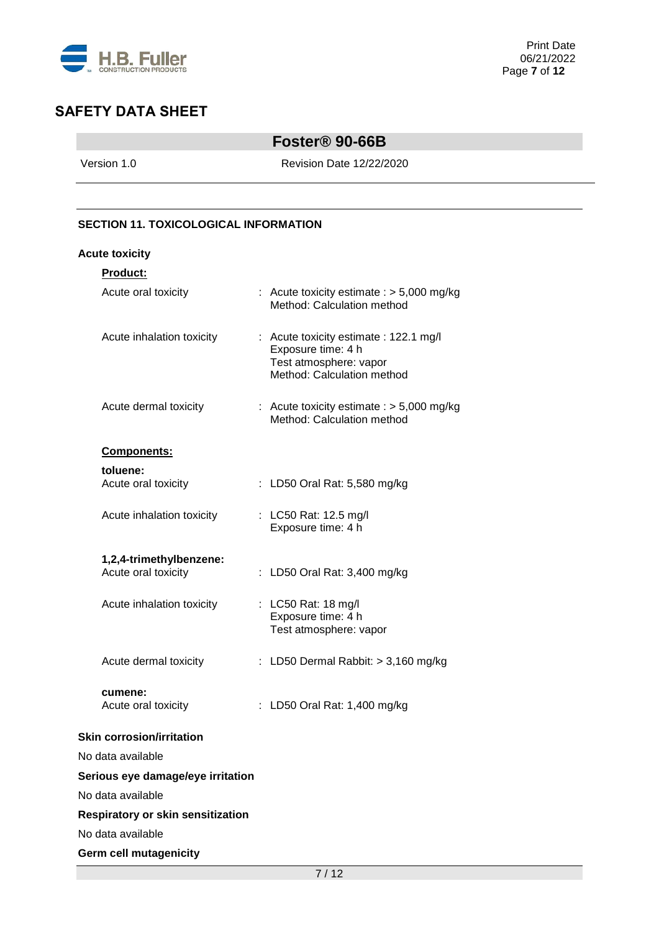

# **Foster® 90-66B**

Version 1.0 Revision Date 12/22/2020

## **SECTION 11. TOXICOLOGICAL INFORMATION**

#### **Acute toxicity**

| Product:                                       |                                                                                                                      |
|------------------------------------------------|----------------------------------------------------------------------------------------------------------------------|
| Acute oral toxicity                            | : Acute toxicity estimate : $> 5,000$ mg/kg<br>Method: Calculation method                                            |
| Acute inhalation toxicity                      | : Acute toxicity estimate : 122.1 mg/l<br>Exposure time: 4 h<br>Test atmosphere: vapor<br>Method: Calculation method |
| Acute dermal toxicity                          | : Acute toxicity estimate : $> 5,000$ mg/kg<br>Method: Calculation method                                            |
| <b>Components:</b>                             |                                                                                                                      |
| toluene:                                       |                                                                                                                      |
| Acute oral toxicity                            | : LD50 Oral Rat: 5,580 mg/kg                                                                                         |
| Acute inhalation toxicity                      | : LC50 Rat: 12.5 mg/l<br>Exposure time: 4 h                                                                          |
| 1,2,4-trimethylbenzene:<br>Acute oral toxicity | : LD50 Oral Rat: 3,400 mg/kg                                                                                         |
| Acute inhalation toxicity                      | : LC50 Rat: 18 mg/l<br>Exposure time: 4 h<br>Test atmosphere: vapor                                                  |
| Acute dermal toxicity                          | : LD50 Dermal Rabbit: $>$ 3,160 mg/kg                                                                                |
| cumene:<br>Acute oral toxicity                 | : LD50 Oral Rat: 1,400 mg/kg                                                                                         |
| <b>Skin corrosion/irritation</b>               |                                                                                                                      |
| No data available                              |                                                                                                                      |
| Serious eye damage/eye irritation              |                                                                                                                      |
| No data available                              |                                                                                                                      |
| <b>Respiratory or skin sensitization</b>       |                                                                                                                      |
| No data available                              |                                                                                                                      |
| <b>Germ cell mutagenicity</b>                  |                                                                                                                      |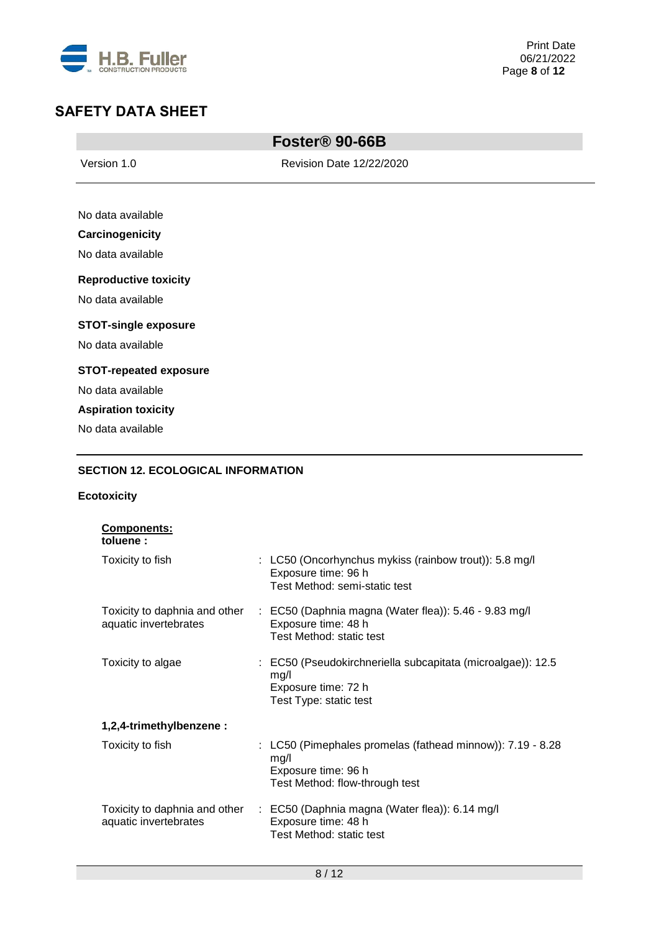

**College** 

| Foster <sup>®</sup> 90-66B                |                          |  |
|-------------------------------------------|--------------------------|--|
| Version 1.0                               | Revision Date 12/22/2020 |  |
|                                           |                          |  |
| No data available                         |                          |  |
| Carcinogenicity                           |                          |  |
| No data available                         |                          |  |
| <b>Reproductive toxicity</b>              |                          |  |
| No data available                         |                          |  |
| <b>STOT-single exposure</b>               |                          |  |
| No data available                         |                          |  |
| <b>STOT-repeated exposure</b>             |                          |  |
| No data available                         |                          |  |
| <b>Aspiration toxicity</b>                |                          |  |
| No data available                         |                          |  |
| <b>SECTION 12. ECOLOGICAL INFORMATION</b> |                          |  |

# **Ecotoxicity**

| <b>Components:</b><br>toluene:                         |                                                                                                                             |
|--------------------------------------------------------|-----------------------------------------------------------------------------------------------------------------------------|
| Toxicity to fish                                       | $\therefore$ LC50 (Oncorhynchus mykiss (rainbow trout)): 5.8 mg/l<br>Exposure time: 96 h<br>Test Method: semi-static test   |
| Toxicity to daphnia and other<br>aquatic invertebrates | $\therefore$ EC50 (Daphnia magna (Water flea)): 5.46 - 9.83 mg/l<br>Exposure time: 48 h<br>Test Method: static test         |
| Toxicity to algae                                      | : EC50 (Pseudokirchneriella subcapitata (microalgae)): 12.5<br>mg/l<br>Exposure time: 72 h<br>Test Type: static test        |
| 1,2,4-trimethylbenzene:                                |                                                                                                                             |
| Toxicity to fish                                       | : LC50 (Pimephales promelas (fathead minnow)): 7.19 - 8.28<br>mg/l<br>Exposure time: 96 h<br>Test Method: flow-through test |
| Toxicity to daphnia and other<br>aquatic invertebrates | $\therefore$ EC50 (Daphnia magna (Water flea)): 6.14 mg/l<br>Exposure time: 48 h<br>Test Method: static test                |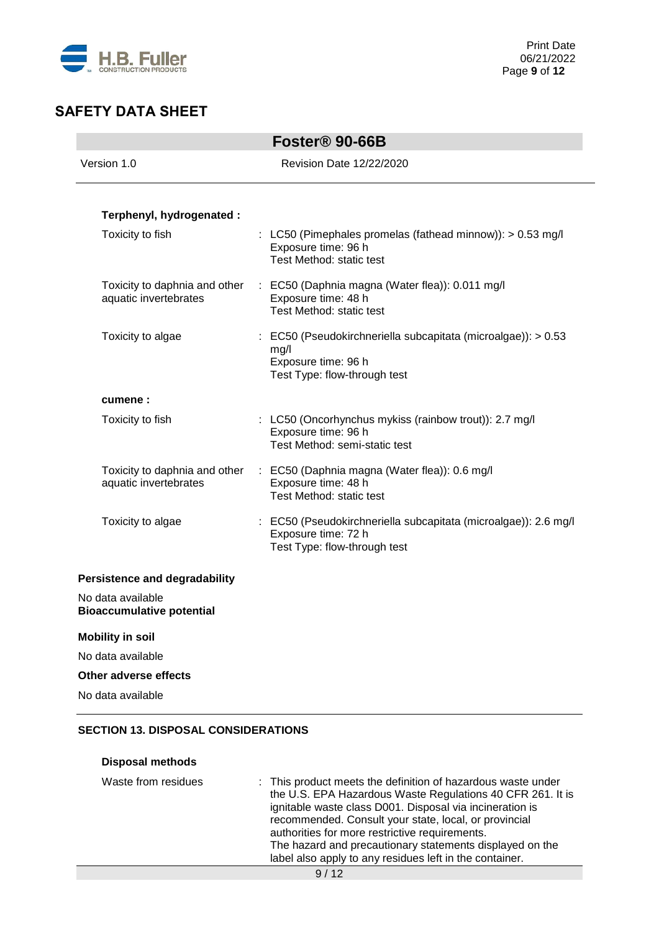

|                                                        | Foster <sup>®</sup> 90-66B                                                                                                   |
|--------------------------------------------------------|------------------------------------------------------------------------------------------------------------------------------|
| Version 1.0                                            | <b>Revision Date 12/22/2020</b>                                                                                              |
|                                                        |                                                                                                                              |
| Terphenyl, hydrogenated :                              |                                                                                                                              |
| Toxicity to fish                                       | : LC50 (Pimephales promelas (fathead minnow)): $> 0.53$ mg/l<br>Exposure time: 96 h<br>Test Method: static test              |
| Toxicity to daphnia and other<br>aquatic invertebrates | : EC50 (Daphnia magna (Water flea)): 0.011 mg/l<br>Exposure time: 48 h                                                       |
|                                                        | Test Method: static test                                                                                                     |
| Toxicity to algae                                      | : EC50 (Pseudokirchneriella subcapitata (microalgae)): > 0.53<br>mg/l<br>Exposure time: 96 h<br>Test Type: flow-through test |
| cumene:                                                |                                                                                                                              |
| Toxicity to fish                                       | : LC50 (Oncorhynchus mykiss (rainbow trout)): 2.7 mg/l<br>Exposure time: 96 h<br>Test Method: semi-static test               |
| Toxicity to daphnia and other<br>aquatic invertebrates | : EC50 (Daphnia magna (Water flea)): 0.6 mg/l<br>Exposure time: 48 h<br>Test Method: static test                             |
| Toxicity to algae                                      | : EC50 (Pseudokirchneriella subcapitata (microalgae)): 2.6 mg/l<br>Exposure time: 72 h<br>Test Type: flow-through test       |
| <b>Persistence and degradability</b>                   |                                                                                                                              |
| No data available<br><b>Bioaccumulative potential</b>  |                                                                                                                              |
| <b>Mobility in soil</b>                                |                                                                                                                              |
| No data available                                      |                                                                                                                              |
| Other adverse effects                                  |                                                                                                                              |
| No data available                                      |                                                                                                                              |
|                                                        |                                                                                                                              |

## **SECTION 13. DISPOSAL CONSIDERATIONS**

| <b>Disposal methods</b> |                                                                                                                                                                                                                                                                                                                                                                                                                          |
|-------------------------|--------------------------------------------------------------------------------------------------------------------------------------------------------------------------------------------------------------------------------------------------------------------------------------------------------------------------------------------------------------------------------------------------------------------------|
| Waste from residues     | : This product meets the definition of hazardous waste under<br>the U.S. EPA Hazardous Waste Regulations 40 CFR 261. It is<br>ignitable waste class D001. Disposal via incineration is<br>recommended. Consult your state, local, or provincial<br>authorities for more restrictive requirements.<br>The hazard and precautionary statements displayed on the<br>label also apply to any residues left in the container. |
|                         | 9/12                                                                                                                                                                                                                                                                                                                                                                                                                     |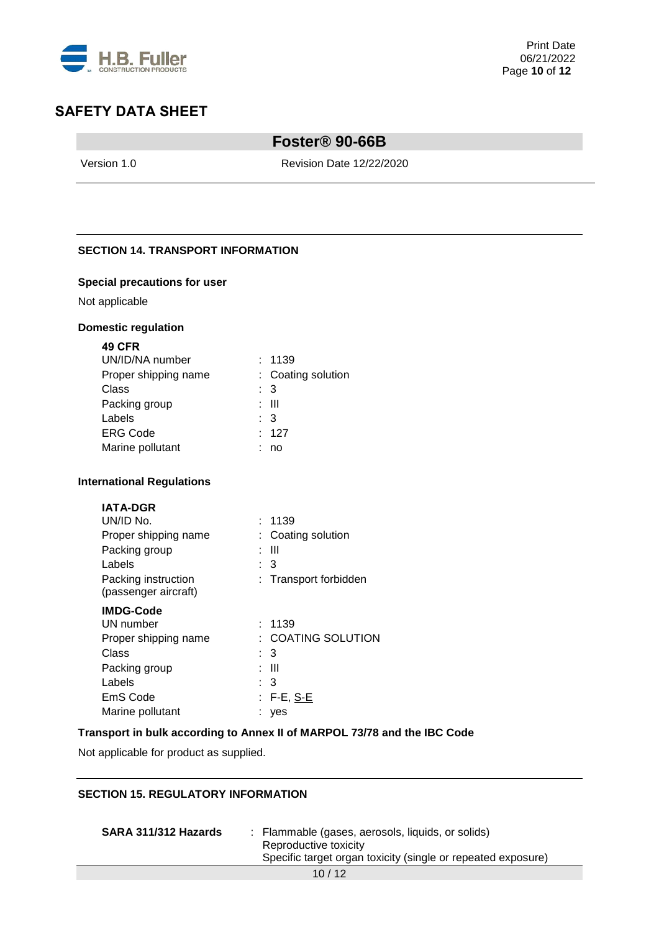

# **Foster® 90-66B**

Version 1.0 Revision Date 12/22/2020

## **SECTION 14. TRANSPORT INFORMATION**

#### **Special precautions for user**

Not applicable

#### **Domestic regulation**

| <b>49 CFR</b>        |                    |
|----------------------|--------------------|
| UN/ID/NA number      | : 1139             |
| Proper shipping name | : Coating solution |
| Class                | : 3                |
| Packing group        | : III              |
| Labels               | $\therefore$ 3     |
| <b>ERG Code</b>      | : 127              |
| Marine pollutant     | no                 |
|                      |                    |

#### **International Regulations**

| <b>IATA-DGR</b>      |                       |
|----------------------|-----------------------|
| UN/ID No.            | : 1139                |
| Proper shipping name | : Coating solution    |
| Packing group        | : III                 |
| Labels               | : 3                   |
| Packing instruction  | : Transport forbidden |
| (passenger aircraft) |                       |
| <b>IMDG-Code</b>     |                       |
| UN number            | 1139                  |

| UN number            | . 1139                 |
|----------------------|------------------------|
| Proper shipping name | $\pm$ COATING SOLUTION |
| Class                | $\therefore$ 3         |
| Packing group        | : III                  |
| Labels               | $\therefore$ 3         |
| EmS Code             | $: F-E, S-E$           |
| Marine pollutant     | : yes                  |

#### **Transport in bulk according to Annex II of MARPOL 73/78 and the IBC Code**

Not applicable for product as supplied.

# **SECTION 15. REGULATORY INFORMATION**

| SARA 311/312 Hazards | : Flammable (gases, aerosols, liquids, or solids)<br>Reproductive toxicity<br>Specific target organ toxicity (single or repeated exposure) |
|----------------------|--------------------------------------------------------------------------------------------------------------------------------------------|
|                      | 10/12                                                                                                                                      |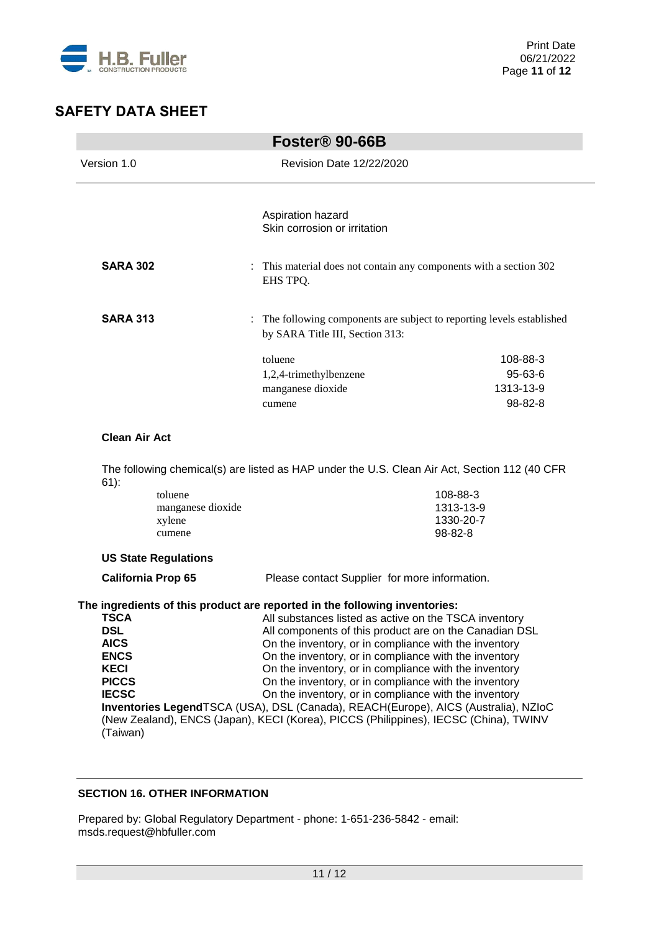

|                                                                                                             |                                                  | Foster <sup>®</sup> 90-66B                                                                                                                                                                                                                                                                                                                                                                                                                                                                                                                                                                                                                                               |                                               |
|-------------------------------------------------------------------------------------------------------------|--------------------------------------------------|--------------------------------------------------------------------------------------------------------------------------------------------------------------------------------------------------------------------------------------------------------------------------------------------------------------------------------------------------------------------------------------------------------------------------------------------------------------------------------------------------------------------------------------------------------------------------------------------------------------------------------------------------------------------------|-----------------------------------------------|
| Version 1.0                                                                                                 |                                                  | Revision Date 12/22/2020                                                                                                                                                                                                                                                                                                                                                                                                                                                                                                                                                                                                                                                 |                                               |
|                                                                                                             |                                                  | Aspiration hazard<br>Skin corrosion or irritation                                                                                                                                                                                                                                                                                                                                                                                                                                                                                                                                                                                                                        |                                               |
| <b>SARA 302</b>                                                                                             |                                                  | : This material does not contain any components with a section 302<br>EHS TPQ.                                                                                                                                                                                                                                                                                                                                                                                                                                                                                                                                                                                           |                                               |
| <b>SARA 313</b>                                                                                             |                                                  | : The following components are subject to reporting levels established<br>by SARA Title III, Section 313:                                                                                                                                                                                                                                                                                                                                                                                                                                                                                                                                                                |                                               |
|                                                                                                             |                                                  | toluene<br>1,2,4-trimethylbenzene<br>manganese dioxide<br>cumene                                                                                                                                                                                                                                                                                                                                                                                                                                                                                                                                                                                                         | 108-88-3<br>95-63-6<br>1313-13-9<br>98-82-8   |
| <b>Clean Air Act</b>                                                                                        |                                                  |                                                                                                                                                                                                                                                                                                                                                                                                                                                                                                                                                                                                                                                                          |                                               |
|                                                                                                             |                                                  | The following chemical(s) are listed as HAP under the U.S. Clean Air Act, Section 112 (40 CFR                                                                                                                                                                                                                                                                                                                                                                                                                                                                                                                                                                            |                                               |
| $61)$ :                                                                                                     | toluene<br>manganese dioxide<br>xylene<br>cumene |                                                                                                                                                                                                                                                                                                                                                                                                                                                                                                                                                                                                                                                                          | 108-88-3<br>1313-13-9<br>1330-20-7<br>98-82-8 |
|                                                                                                             | <b>US State Regulations</b>                      |                                                                                                                                                                                                                                                                                                                                                                                                                                                                                                                                                                                                                                                                          |                                               |
| <b>California Prop 65</b>                                                                                   |                                                  | Please contact Supplier for more information.                                                                                                                                                                                                                                                                                                                                                                                                                                                                                                                                                                                                                            |                                               |
| TSCA<br><b>DSL</b><br><b>AICS</b><br><b>ENCS</b><br><b>KECI</b><br><b>PICCS</b><br><b>IECSC</b><br>(Taiwan) |                                                  | The ingredients of this product are reported in the following inventories:<br>All substances listed as active on the TSCA inventory<br>All components of this product are on the Canadian DSL<br>On the inventory, or in compliance with the inventory<br>On the inventory, or in compliance with the inventory<br>On the inventory, or in compliance with the inventory<br>On the inventory, or in compliance with the inventory<br>On the inventory, or in compliance with the inventory<br>Inventories LegendTSCA (USA), DSL (Canada), REACH(Europe), AICS (Australia), NZIoC<br>(New Zealand), ENCS (Japan), KECI (Korea), PICCS (Philippines), IECSC (China), TWINV |                                               |

## **SECTION 16. OTHER INFORMATION**

Prepared by: Global Regulatory Department - phone: 1-651-236-5842 - email: msds.request@hbfuller.com